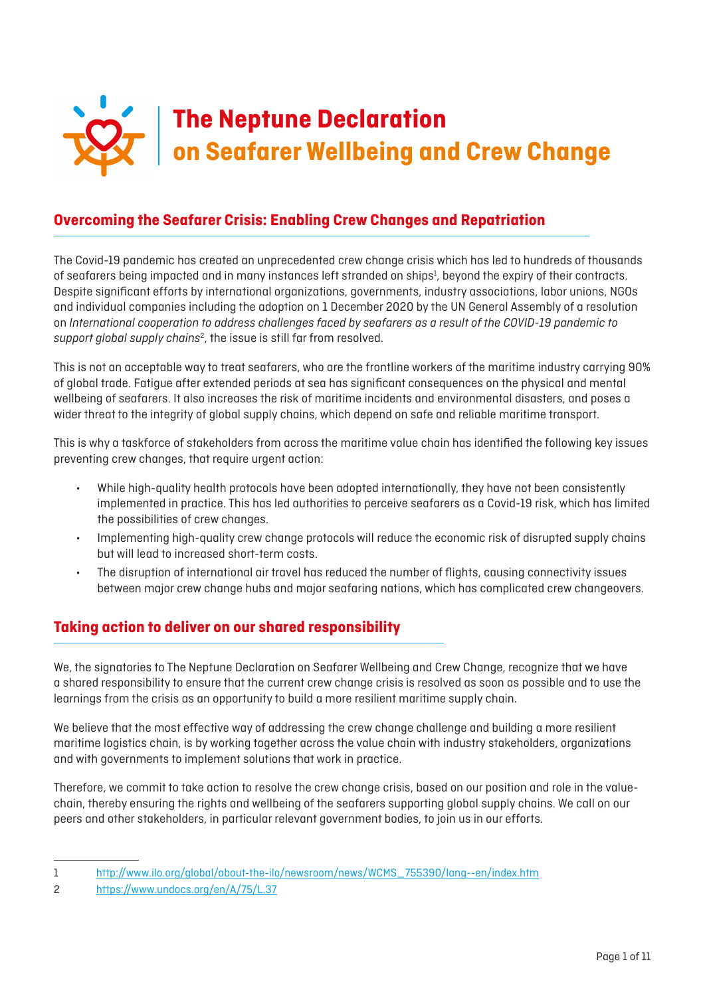

# **Overcoming the Seafarer Crisis: Enabling Crew Changes and Repatriation**

The Covid-19 pandemic has created an unprecedented crew change crisis which has led to hundreds of thousands of seafarers being impacted and in many instances left stranded on ships<sup>1</sup>, beyond the expiry of their contracts. Despite significant efforts by international organizations, governments, industry associations, labor unions, NGOs and individual companies including the adoption on 1 December 2020 by the UN General Assembly of a resolution on *International cooperation to address challenges faced by seafarers as a result of the COVID-19 pandemic to*  support global supply chains<sup>2</sup>, the issue is still far from resolved.

This is not an acceptable way to treat seafarers, who are the frontline workers of the maritime industry carrying 90% of global trade. Fatigue after extended periods at sea has significant consequences on the physical and mental wellbeing of seafarers. It also increases the risk of maritime incidents and environmental disasters, and poses a wider threat to the integrity of global supply chains, which depend on safe and reliable maritime transport.

This is why a taskforce of stakeholders from across the maritime value chain has identified the following key issues preventing crew changes, that require urgent action:

- While high-quality health protocols have been adopted internationally, they have not been consistently implemented in practice. This has led authorities to perceive seafarers as a Covid-19 risk, which has limited the possibilities of crew changes.
- Implementing high-quality crew change protocols will reduce the economic risk of disrupted supply chains but will lead to increased short-term costs.
- The disruption of international air travel has reduced the number of flights, causing connectivity issues between major crew change hubs and major seafaring nations, which has complicated crew changeovers.

# **Taking action to deliver on our shared responsibility**

We, the signatories to The Neptune Declaration on Seafarer Wellbeing and Crew Change, recognize that we have a shared responsibility to ensure that the current crew change crisis is resolved as soon as possible and to use the learnings from the crisis as an opportunity to build a more resilient maritime supply chain.

We believe that the most effective way of addressing the crew change challenge and building a more resilient maritime logistics chain, is by working together across the value chain with industry stakeholders, organizations and with governments to implement solutions that work in practice.

Therefore, we commit to take action to resolve the crew change crisis, based on our position and role in the valuechain, thereby ensuring the rights and wellbeing of the seafarers supporting global supply chains. We call on our peers and other stakeholders, in particular relevant government bodies, to join us in our efforts.

<sup>1</sup> [http://www.ilo.org/global/about-the-ilo/newsroom/news/WCMS\\_755390/lang--en/index.htm](http://www.ilo.org/global/about-the-ilo/newsroom/news/WCMS_755390/lang--en/index.htm)

<sup>2</sup> <https://www.undocs.org/en/A/75/L.37>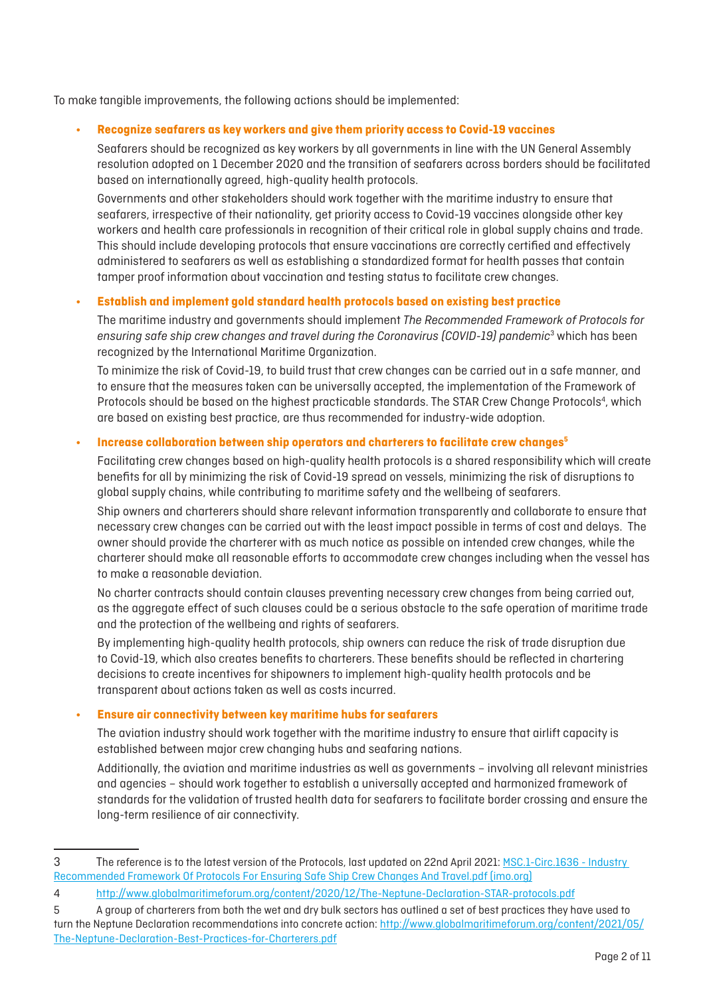To make tangible improvements, the following actions should be implemented:

#### **• Recognize seafarers as key workers and give them priority access to Covid-19 vaccines**

Seafarers should be recognized as key workers by all governments in line with the UN General Assembly resolution adopted on 1 December 2020 and the transition of seafarers across borders should be facilitated based on internationally agreed, high-quality health protocols.

Governments and other stakeholders should work together with the maritime industry to ensure that seafarers, irrespective of their nationality, get priority access to Covid-19 vaccines alongside other key workers and health care professionals in recognition of their critical role in global supply chains and trade. This should include developing protocols that ensure vaccinations are correctly certified and effectively administered to seafarers as well as establishing a standardized format for health passes that contain tamper proof information about vaccination and testing status to facilitate crew changes.

#### **• Establish and implement gold standard health protocols based on existing best practice**

The maritime industry and governments should implement *The Recommended Framework of Protocols for ensuring safe ship crew changes and travel during the Coronavirus (COVID-19) pandemic*<sup>3</sup> which has been recognized by the International Maritime Organization.

To minimize the risk of Covid-19, to build trust that crew changes can be carried out in a safe manner, and to ensure that the measures taken can be universally accepted, the implementation of the Framework of Protocols should be based on the highest practicable standards. The STAR Crew Change Protocols<sup>4</sup>, which are based on existing best practice, are thus recommended for industry-wide adoption.

#### **• Increase collaboration between ship operators and charterers to facilitate crew changes5**

Facilitating crew changes based on high-quality health protocols is a shared responsibility which will create benefits for all by minimizing the risk of Covid-19 spread on vessels, minimizing the risk of disruptions to global supply chains, while contributing to maritime safety and the wellbeing of seafarers.

Ship owners and charterers should share relevant information transparently and collaborate to ensure that necessary crew changes can be carried out with the least impact possible in terms of cost and delays. The owner should provide the charterer with as much notice as possible on intended crew changes, while the charterer should make all reasonable efforts to accommodate crew changes including when the vessel has to make a reasonable deviation.

No charter contracts should contain clauses preventing necessary crew changes from being carried out, as the aggregate effect of such clauses could be a serious obstacle to the safe operation of maritime trade and the protection of the wellbeing and rights of seafarers.

By implementing high-quality health protocols, ship owners can reduce the risk of trade disruption due to Covid-19, which also creates benefits to charterers. These benefits should be reflected in chartering decisions to create incentives for shipowners to implement high-quality health protocols and be transparent about actions taken as well as costs incurred.

### **• Ensure air connectivity between key maritime hubs for seafarers**

The aviation industry should work together with the maritime industry to ensure that airlift capacity is established between major crew changing hubs and seafaring nations.

Additionally, the aviation and maritime industries as well as governments – involving all relevant ministries and agencies – should work together to establish a universally accepted and harmonized framework of standards for the validation of trusted health data for seafarers to facilitate border crossing and ensure the long-term resilience of air connectivity.

<sup>3</sup> The reference is to the latest version of the Protocols, last updated on 22nd April 2021: [MSC.1-Circ.1636 - Industry](https://wwwcdn.imo.org/localresources/en/MediaCentre/HotTopics/Documents/MSC%201636%20protocols/MSC.1-Circ.1636%20-%20Industry%20Recommended%20Framework%20Of%20Protocols%20For%20Ensuring%20Safe%20Ship%20Crew%20Changes%20And%20Travel.pdf)  [Recommended Framework Of Protocols For Ensuring Safe Ship Crew Changes And Travel.pdf \(imo.org\)](https://wwwcdn.imo.org/localresources/en/MediaCentre/HotTopics/Documents/MSC%201636%20protocols/MSC.1-Circ.1636%20-%20Industry%20Recommended%20Framework%20Of%20Protocols%20For%20Ensuring%20Safe%20Ship%20Crew%20Changes%20And%20Travel.pdf)

<sup>4</sup> <http://www.globalmaritimeforum.org/content/2020/12/The-Neptune-Declaration-STAR-protocols.pdf>

<sup>5</sup> A group of charterers from both the wet and dry bulk sectors has outlined a set of best practices they have used to turn the Neptune Declaration recommendations into concrete action: [http://www.globalmaritimeforum.org/content/2021/05/](http://www.globalmaritimeforum.org/content/2021/05/The-Neptune-Declaration-Best-Practices-for-Charterers.pdf) [The-Neptune-Declaration-Best-Practices-for-Charterers.pdf](http://www.globalmaritimeforum.org/content/2021/05/The-Neptune-Declaration-Best-Practices-for-Charterers.pdf)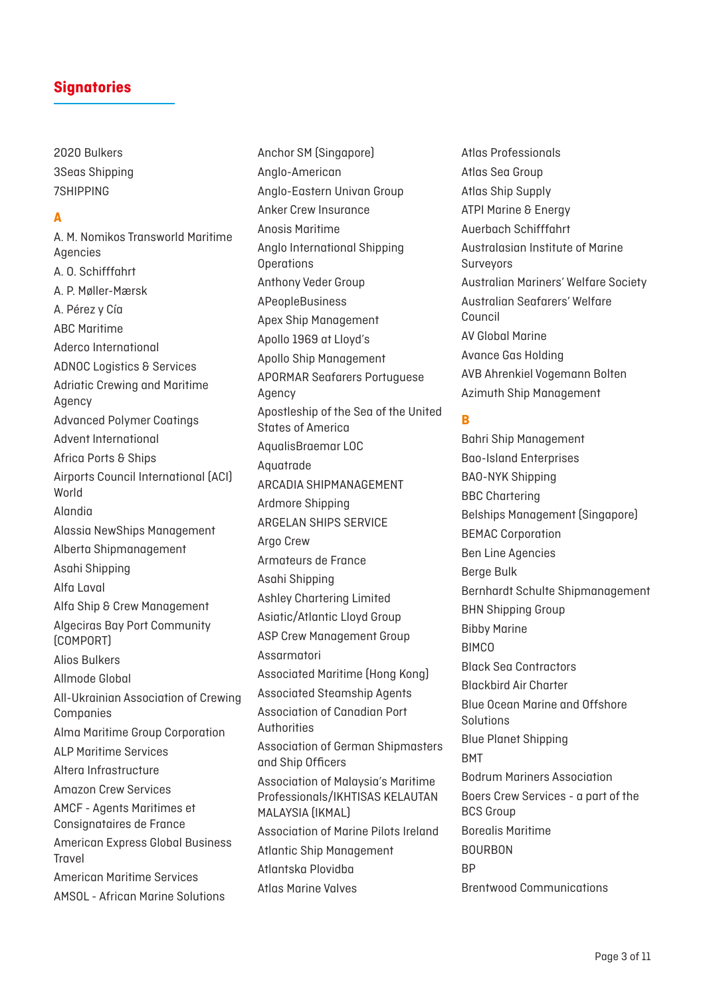2020 Bulkers 3Seas Shipping 7SHIPPING

### **A**

A. M. Nomikos Transworld Maritime Agencies A. O. Schifffahrt A. P. Møller-Mærsk A. Pérez y Cía ABC Maritime Aderco International ADNOC Logistics & Services Adriatic Crewing and Maritime Agency Advanced Polymer Coatings Advent International Africa Ports & Ships Airports Council International (ACI) World Alandia Alassia NewShips Management Alberta Shipmanagement Asahi Shipping Alfa Laval Alfa Ship & Crew Management Algeciras Bay Port Community (COMPORT) Alios Bulkers Allmode Global All-Ukrainian Association of Crewing Companies Alma Maritime Group Corporation ALP Maritime Services Altera Infrastructure Amazon Crew Services AMCF - Agents Maritimes et Consignataires de France American Express Global Business Travel American Maritime Services AMSOL - African Marine Solutions

Anchor SM (Singapore) Anglo-American Anglo-Eastern Univan Group Anker Crew Insurance Anosis Maritime Anglo International Shipping **Operations** Anthony Veder Group APeopleBusiness Apex Ship Management Apollo 1969 at Lloyd's Apollo Ship Management APORMAR Seafarers Portuguese Agency Apostleship of the Sea of the United States of America AqualisBraemar LOC Aquatrade ARCADIA SHIPMANAGEMENT Ardmore Shipping ARGELAN SHIPS SERVICE Argo Crew Armateurs de France Asahi Shipping Ashley Chartering Limited Asiatic/Atlantic Lloyd Group ASP Crew Management Group Assarmatori Associated Maritime (Hong Kong) Associated Steamship Agents Association of Canadian Port Authorities Association of German Shipmasters and Ship Officers Association of Malaysia's Maritime Professionals/IKHTISAS KELAUTAN MALAYSIA (IKMAL) Association of Marine Pilots Ireland Atlantic Ship Management Atlantska Plovidba Atlas Marine Valves

Atlas Professionals Atlas Sea Group Atlas Ship Supply ATPI Marine & Energy Auerbach Schifffahrt Australasian Institute of Marine Surveyors Australian Mariners' Welfare Society Australian Seafarers' Welfare Council AV Global Marine Avance Gas Holding AVB Ahrenkiel Vogemann Bolten Azimuth Ship Management

#### **B**

Bahri Ship Management Bao-Island Enterprises BAO-NYK Shipping BBC Chartering Belships Management (Singapore) BEMAC Corporation Ben Line Agencies Berge Bulk Bernhardt Schulte Shipmanagement BHN Shipping Group Bibby Marine **BIMCO** Black Sea Contractors Blackbird Air Charter Blue Ocean Marine and Offshore Solutions Blue Planet Shipping BMT Bodrum Mariners Association Boers Crew Services - a part of the BCS Group Borealis Maritime BOURBON **RP** Brentwood Communications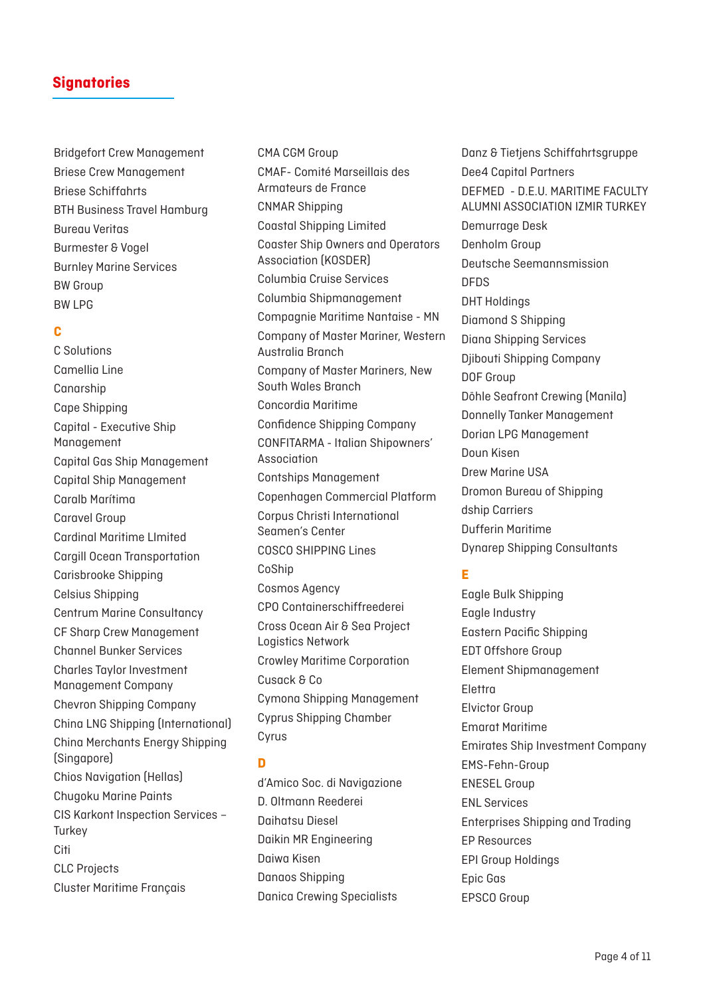Bridgefort Crew Management Briese Crew Management Briese Schiffahrts BTH Business Travel Hamburg Bureau Veritas Burmester & Vogel Burnley Marine Services BW Group BW LPG

### **C**

C Solutions Camellia Line Canarship Cape Shipping Capital - Executive Ship Management Capital Gas Ship Management Capital Ship Management Caralb Marítima Caravel Group Cardinal Maritime LImited Cargill Ocean Transportation Carisbrooke Shipping Celsius Shipping Centrum Marine Consultancy CF Sharp Crew Management Channel Bunker Services Charles Taylor Investment Management Company Chevron Shipping Company China LNG Shipping (International) China Merchants Energy Shipping (Singapore) Chios Navigation (Hellas) Chugoku Marine Paints CIS Karkont Inspection Services – **Turkey Citi** CLC Projects Cluster Maritime Français

CMA CGM Group CMAF- Comité Marseillais des Armateurs de France CNMAR Shipping Coastal Shipping Limited Coaster Ship Owners and Operators Association (KOSDER) Columbia Cruise Services Columbia Shipmanagement Compagnie Maritime Nantaise - MN Company of Master Mariner, Western Australia Branch Company of Master Mariners, New South Wales Branch Concordia Maritime Confidence Shipping Company CONFITARMA - Italian Shipowners' Association Contships Management Copenhagen Commercial Platform Corpus Christi International Seamen's Center COSCO SHIPPING Lines CoShip Cosmos Agency CPO Containerschiffreederei Cross Ocean Air & Sea Project Logistics Network Crowley Maritime Corporation Cusack & Co Cymona Shipping Management Cyprus Shipping Chamber Cyrus **D**

d'Amico Soc. di Navigazione D. Oltmann Reederei Daihatsu Diesel Daikin MR Engineering Daiwa Kisen Danaos Shipping Danica Crewing Specialists

Danz & Tietiens Schiffahrtsgruppe Dee4 Capital Partners DEFMED - D.E.U. MARITIME FACULTY ALUMNI ASSOCIATION IZMIR TURKEY Demurrage Desk Denholm Group Deutsche Seemannsmission DFDS DHT Holdings Diamond S Shipping Diana Shipping Services Djibouti Shipping Company DOF Group Döhle Seafront Crewing (Manila) Donnelly Tanker Management Dorian LPG Management Doun Kisen Drew Marine USA Dromon Bureau of Shipping dship Carriers Dufferin Maritime Dynarep Shipping Consultants

### **E**

Eagle Bulk Shipping Eagle Industry Eastern Pacific Shipping EDT Offshore Group Element Shipmanagement Elettra Elvictor Group Emarat Maritime Emirates Ship Investment Company EMS-Fehn-Group ENESEL Group ENL Services Enterprises Shipping and Trading EP Resources EPI Group Holdings Epic Gas EPSCO Group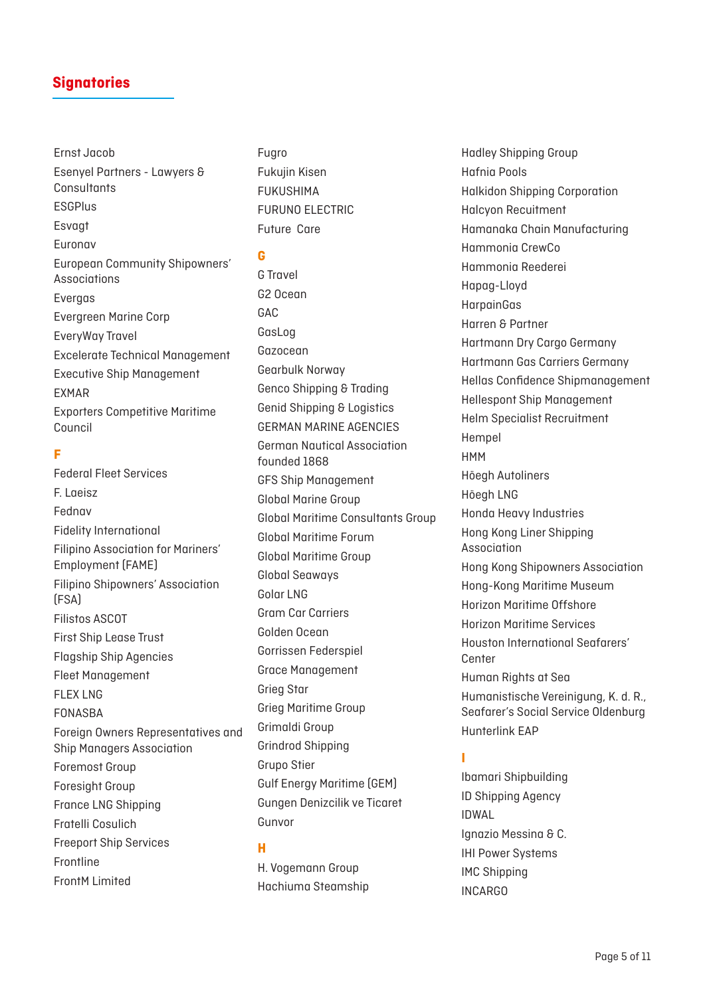Ernst Jacob Esenyel Partners - Lawyers & Consultants **ESGPlus** Esvagt Euronav European Community Shipowners' Associations Evergas Evergreen Marine Corp EveryWay Travel Excelerate Technical Management Executive Ship Management EXMAR Exporters Competitive Maritime Council

#### **F**

Federal Fleet Services F. Laeisz Fednav Fidelity International Filipino Association for Mariners' Employment (FAME) Filipino Shipowners' Association (FSA) Filistos ASCOT First Ship Lease Trust Flagship Ship Agencies Fleet Management FLEX LNG FONASBA Foreign Owners Representatives and Ship Managers Association Foremost Group Foresight Group France LNG Shipping Fratelli Cosulich Freeport Ship Services Frontline FrontM Limited

Fugro Fukujin Kisen FUKUSHIMA FURUNO ELECTRIC Future Care

#### **G**

G Travel G2 Ocean GAC GasLog Gazocean Gearbulk Norway Genco Shipping & Trading Genid Shipping & Logistics GERMAN MARINE AGENCIES German Nautical Association founded 1868 GFS Ship Management Global Marine Group Global Maritime Consultants Group Global Maritime Forum Global Maritime Group Global Seaways Golar LNG Gram Car Carriers Golden Ocean Gorrissen Federspiel Grace Management Grieg Star Grieg Maritime Group Grimaldi Group Grindrod Shipping Grupo Stier Gulf Energy Maritime (GEM) Gungen Denizcilik ve Ticaret Gunvor

### **H**

H. Vogemann Group Hachiuma Steamship Hadley Shipping Group Hafnia Pools Halkidon Shipping Corporation Halcyon Recuitment Hamanaka Chain Manufacturing Hammonia CrewCo Hammonia Reederei Hapag-Lloyd HarpainGas Harren & Partner Hartmann Dry Cargo Germany Hartmann Gas Carriers Germany Hellas Confidence Shipmanagement Hellespont Ship Management Helm Specialist Recruitment Hempel HMM Höegh Autoliners Höegh LNG Honda Heavy Industries Hong Kong Liner Shipping Association Hong Kong Shipowners Association Hong-Kong Maritime Museum Horizon Maritime Offshore Horizon Maritime Services Houston International Seafarers' Center Human Rights at Sea Humanistische Vereinigung, K. d. R., Seafarer's Social Service Oldenburg Hunterlink EAP

### **I**

Ibamari Shipbuilding ID Shipping Agency IDWAL Ignazio Messina & C. IHI Power Systems IMC Shipping INCARGO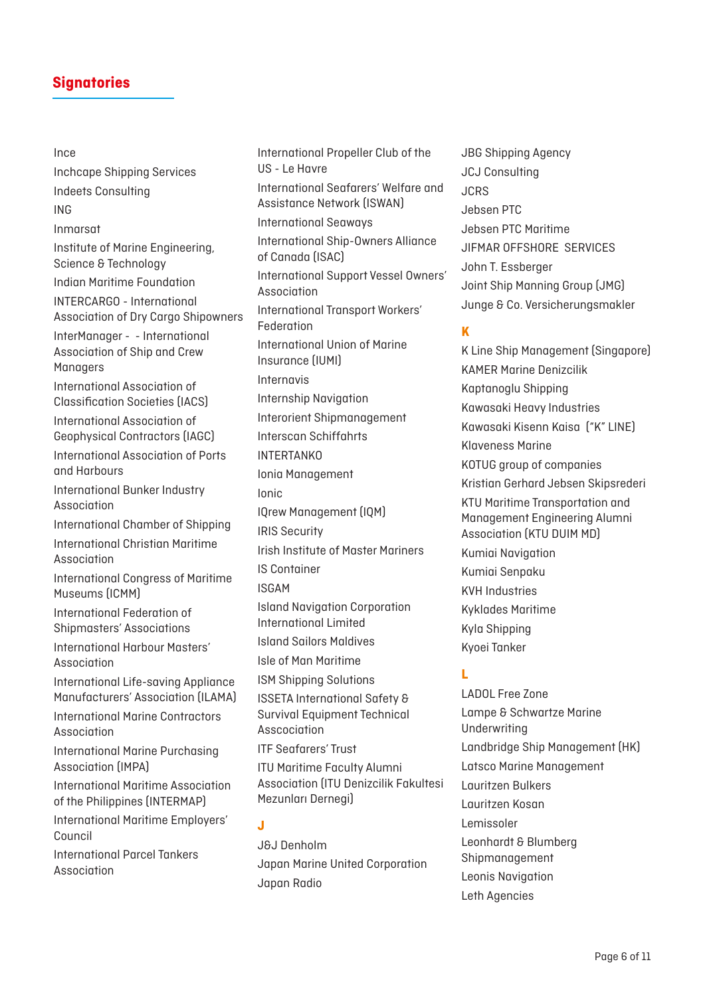#### Ince

Inchcape Shipping Services Indeets Consulting ING Inmarsat Institute of Marine Engineering, Science & Technology Indian Maritime Foundation INTERCARGO - International Association of Dry Cargo Shipowners InterManager - - International Association of Ship and Crew Managers International Association of Classification Societies (IACS) International Association of Geophysical Contractors (IAGC) International Association of Ports and Harbours International Bunker Industry Association International Chamber of Shipping International Christian Maritime Association International Congress of Maritime Museums (ICMM) International Federation of Shipmasters' Associations International Harbour Masters' Association International Life-saving Appliance Manufacturers' Association (ILAMA) International Marine Contractors Association International Marine Purchasing Association (IMPA) International Maritime Association of the Philippines (INTERMAP) International Maritime Employers'

International Parcel Tankers Association

Council

International Propeller Club of the US - Le Havre International Seafarers' Welfare and Assistance Network (ISWAN) International Seaways International Ship-Owners Alliance of Canada (ISAC) International Support Vessel Owners' Association International Transport Workers' Federation International Union of Marine Insurance (IUMI) Internavis Internship Navigation Interorient Shipmanagement Interscan Schiffahrts **INTERTANKO** Ionia Management Ionic IQrew Management (IQM) IRIS Security Irish Institute of Master Mariners IS Container ISGAM Island Navigation Corporation International Limited Island Sailors Maldives Isle of Man Maritime ISM Shipping Solutions ISSETA International Safety & Survival Equipment Technical Asscociation ITF Seafarers' Trust ITU Maritime Faculty Alumni Association (ITU Denizcilik Fakultesi Mezunları Dernegi) **J**

J&J Denholm Japan Marine United Corporation Japan Radio

JBG Shipping Agency JCJ Consulting JCRS Jebsen PTC Jebsen PTC Maritime JIFMAR OFFSHORE SERVICES John T. Essberger Joint Ship Manning Group (JMG) Junge & Co. Versicherungsmakler

### **K**

K Line Ship Management (Singapore) KAMER Marine Denizcilik Kaptanoglu Shipping Kawasaki Heavy Industries Kawasaki Kisenn Kaisa ("K" LINE) Klaveness Marine KOTUG group of companies Kristian Gerhard Jebsen Skipsrederi KTU Maritime Transportation and Management Engineering Alumni Association (KTU DUIM MD) Kumiai Navigation Kumiai Senpaku KVH Industries Kyklades Maritime Kyla Shipping Kyoei Tanker

### **L**

LADOL Free Zone Lampe & Schwartze Marine Underwriting Landbridge Ship Management (HK) Latsco Marine Management Lauritzen Bulkers Lauritzen Kosan Lemissoler Leonhardt & Blumberg Shipmanagement Leonis Navigation Leth Agencies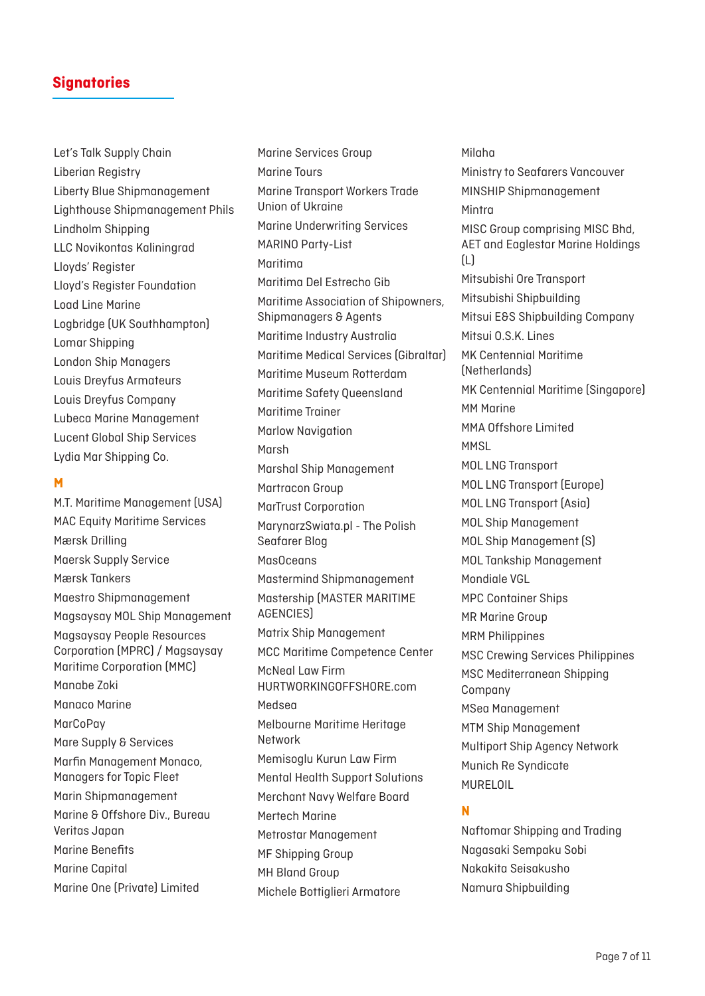Let's Talk Supply Chain Liberian Registry Liberty Blue Shipmanagement Lighthouse Shipmanagement Phils Lindholm Shipping LLC Novikontas Kaliningrad Lloyds' Register Lloyd's Register Foundation Load Line Marine Logbridge (UK Southhampton) Lomar Shipping London Ship Managers Louis Dreyfus Armateurs Louis Dreyfus Company Lubeca Marine Management Lucent Global Ship Services Lydia Mar Shipping Co.

### **M**

M.T. Maritime Management (USA) MAC Equity Maritime Services Mærsk Drilling Maersk Supply Service Mærsk Tankers Maestro Shipmanagement Magsaysay MOL Ship Management Magsaysay People Resources Corporation (MPRC) / Magsaysay Maritime Corporation (MMC) Manabe Zoki Manaco Marine **MarCoPav** Mare Supply & Services Marfin Management Monaco, Managers for Topic Fleet Marin Shipmanagement Marine & Offshore Div., Bureau Veritas Japan Marine Benefits Marine Capital Marine One (Private) Limited

Marine Services Group Marine Tours Marine Transport Workers Trade Union of Ukraine Marine Underwriting Services MARINO Party-List Maritima Maritima Del Estrecho Gib Maritime Association of Shipowners, Shipmanagers & Agents Maritime Industry Australia Maritime Medical Services (Gibraltar) Maritime Museum Rotterdam Maritime Safety Queensland Maritime Trainer Marlow Navigation Marsh Marshal Ship Management Martracon Group MarTrust Corporation MarynarzSwiata.pl - The Polish Seafarer Blog MasOceans Mastermind Shipmanagement Mastership (MASTER MARITIME AGENCIES) Matrix Ship Management MCC Maritime Competence Center McNeal Law Firm HURTWORKINGOFFSHORE.com Medsea Melbourne Maritime Heritage Network Memisoglu Kurun Law Firm Mental Health Support Solutions Merchant Navy Welfare Board Mertech Marine Metrostar Management MF Shipping Group MH Bland Group Michele Bottiglieri Armatore

Milaha Ministry to Seafarers Vancouver MINSHIP Shipmanagement Mintra MISC Group comprising MISC Bhd, AET and Eaglestar Marine Holdings (L) Mitsubishi Ore Transport Mitsubishi Shipbuilding Mitsui E&S Shipbuilding Company Mitsui O.S.K. Lines MK Centennial Maritime (Netherlands) MK Centennial Maritime (Singapore) MM Marine MMA Offshore Limited **MMSL** MOL LNG Transport MOL LNG Transport (Europe) MOL LNG Transport (Asia) MOL Ship Management MOL Ship Management (S) MOL Tankship Management Mondiale VGL MPC Container Ships MR Marine Group MRM Philippines MSC Crewing Services Philippines MSC Mediterranean Shipping Company MSea Management MTM Ship Management Multiport Ship Agency Network Munich Re Syndicate MURELOIL

### **N**

Naftomar Shipping and Trading Nagasaki Sempaku Sobi Nakakita Seisakusho Namura Shipbuilding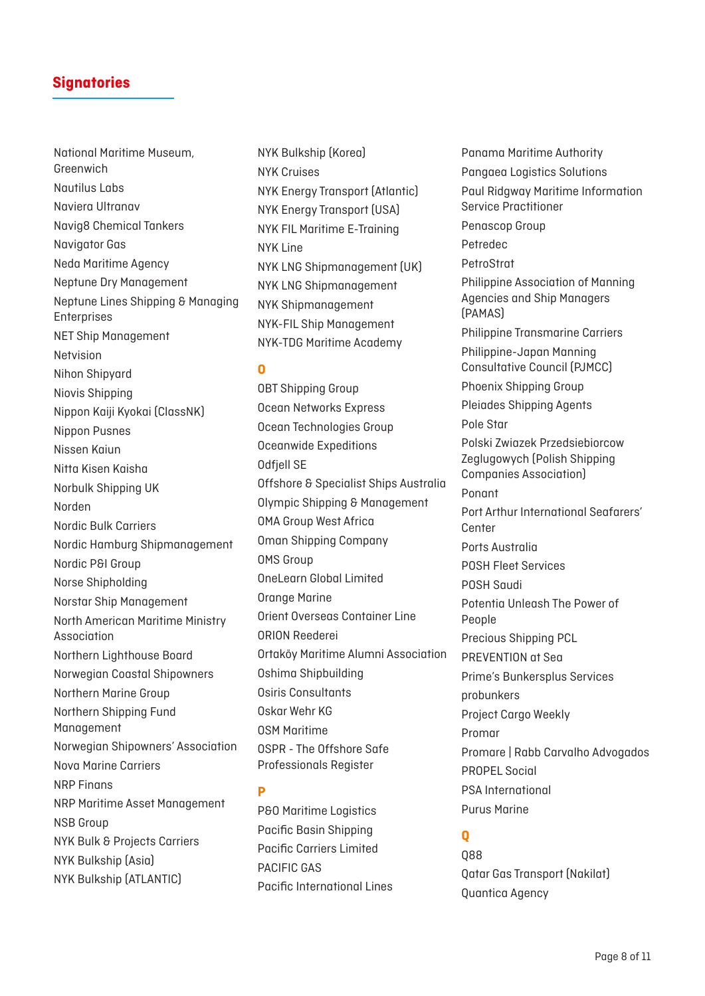National Maritime Museum, Greenwich Nautilus Labs Naviera Ultranav Navig8 Chemical Tankers Navigator Gas Neda Maritime Agency Neptune Dry Management Neptune Lines Shipping & Managing Enterprises NET Ship Management Netvision Nihon Shipyard Niovis Shipping Nippon Kaiji Kyokai (ClassNK) Nippon Pusnes Nissen Kaiun Nitta Kisen Kaisha Norbulk Shipping UK Norden Nordic Bulk Carriers Nordic Hamburg Shipmanagement Nordic P&I Group Norse Shipholding Norstar Ship Management North American Maritime Ministry Association Northern Lighthouse Board Norwegian Coastal Shipowners Northern Marine Group Northern Shipping Fund Management Norwegian Shipowners' Association Nova Marine Carriers NRP Finans NRP Maritime Asset Management NSB Group NYK Bulk & Projects Carriers NYK Bulkship (Asia) NYK Bulkship (ATLANTIC)

NYK Bulkship (Korea) NYK Cruises NYK Energy Transport (Atlantic) NYK Energy Transport (USA) NYK FIL Maritime E-Training NYK Line NYK LNG Shipmanagement (UK) NYK LNG Shipmanagement NYK Shipmanagement NYK-FIL Ship Management NYK-TDG Maritime Academy

#### **O**

OBT Shipping Group Ocean Networks Express Ocean Technologies Group Oceanwide Expeditions Odfjell SE Offshore & Specialist Ships Australia Olympic Shipping & Management OMA Group West Africa Oman Shipping Company OMS Group OneLearn Global Limited Orange Marine Orient Overseas Container Line ORION Reederei Ortaköy Maritime Alumni Association Oshima Shipbuilding Osiris Consultants Oskar Wehr KG OSM Maritime OSPR - The Offshore Safe Professionals Register

### **P**

P&O Maritime Logistics Pacific Basin Shipping Pacific Carriers Limited PACIFIC GAS Pacific International Lines Panama Maritime Authority Pangaea Logistics Solutions Paul Ridgway Maritime Information Service Practitioner Penascop Group Petredec PetroStrat Philippine Association of Manning Agencies and Ship Managers (PAMAS) Philippine Transmarine Carriers Philippine-Japan Manning Consultative Council (PJMCC) Phoenix Shipping Group Pleiades Shipping Agents Pole Star Polski Zwiazek Przedsiebiorcow Zeglugowych (Polish Shipping Companies Association) Ponant Port Arthur International Seafarers' Center Ports Australia POSH Fleet Services POSH Saudi Potentia Unleash The Power of People Precious Shipping PCL PREVENTION at Sea Prime's Bunkersplus Services probunkers Project Cargo Weekly Promar Promare | Rabb Carvalho Advogados PROPEL Social PSA International Purus Marine

### **Q**

Q88 Qatar Gas Transport (Nakilat) Quantica Agency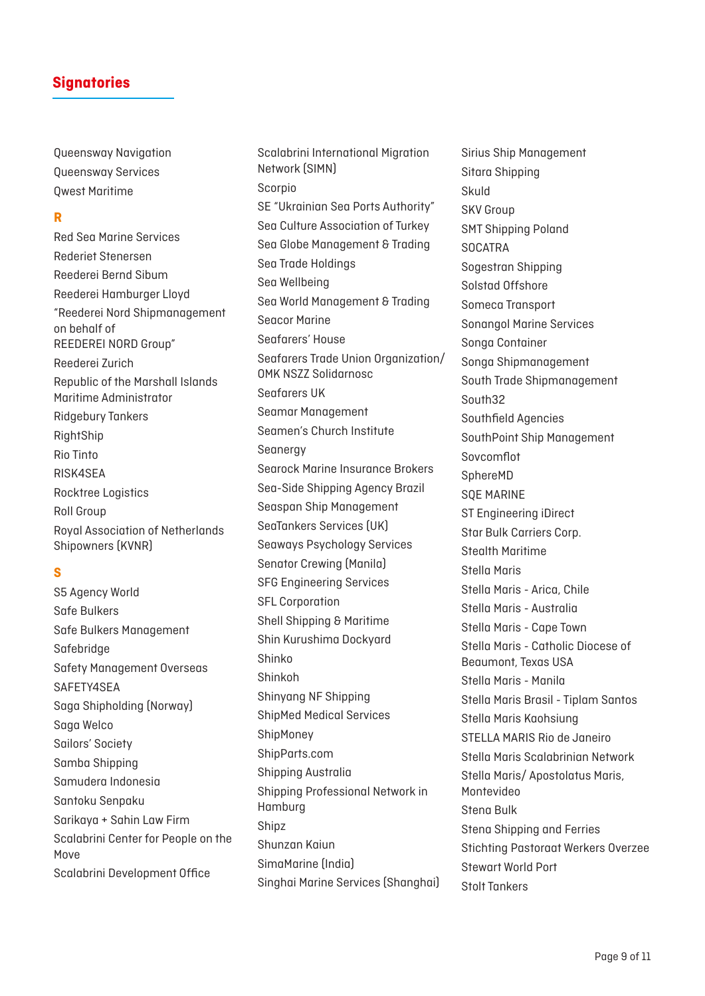Queensway Navigation Queensway Services Qwest Maritime

#### **R**

Red Sea Marine Services Rederiet Stenersen Reederei Bernd Sibum Reederei Hamburger Lloyd "Reederei Nord Shipmanagement on behalf of REEDEREI NORD Group" Reederei Zurich Republic of the Marshall Islands Maritime Administrator Ridgebury Tankers RightShip Rio Tinto RISK4SEA Rocktree Logistics Roll Group Royal Association of Netherlands Shipowners (KVNR)

#### **S**

S5 Agency World Safe Bulkers Safe Bulkers Management Safebridge Safety Management Overseas SAFETY4SEA Saga Shipholding (Norway) Saga Welco Sailors' Society Samba Shipping Samudera Indonesia Santoku Senpaku Sarikaya + Sahin Law Firm Scalabrini Center for People on the Move Scalabrini Development Office

Scalabrini International Migration Network (SIMN) Scorpio SE "Ukrainian Sea Ports Authority" Sea Culture Association of Turkey Sea Globe Management & Trading Sea Trade Holdings Sea Wellbeing Sea World Management & Trading Seacor Marine Seafarers' House Seafarers Trade Union Organization/ OMK NSZZ Solidarnosc Seafarers UK Seamar Management Seamen's Church Institute Seanergy Searock Marine Insurance Brokers Sea-Side Shipping Agency Brazil Seaspan Ship Management SeaTankers Services (UK) Seaways Psychology Services Senator Crewing (Manila) SFG Engineering Services SFL Corporation Shell Shipping & Maritime Shin Kurushima Dockyard Shinko Shinkoh Shinyang NF Shipping ShipMed Medical Services ShipMoney ShipParts.com Shipping Australia Shipping Professional Network in Hamburg Shipz Shunzan Kaiun SimaMarine (India) Singhai Marine Services (Shanghai)

Sirius Ship Management Sitara Shipping Skuld SKV Group SMT Shipping Poland **SOCATRA** Sogestran Shipping Solstad Offshore Someca Transport Sonangol Marine Services Songa Container Songa Shipmanagement South Trade Shipmanagement South32 Southfield Agencies SouthPoint Ship Management Sovcomflot SphereMD SQE MARINE ST Engineering iDirect Star Bulk Carriers Corp. Stealth Maritime Stella Maris Stella Maris - Arica, Chile Stella Maris - Australia Stella Maris - Cape Town Stella Maris - Catholic Diocese of Beaumont, Texas USA Stella Maris - Manila Stella Maris Brasil - Tiplam Santos Stella Maris Kaohsiung STELLA MARIS Rio de Janeiro Stella Maris Scalabrinian Network Stella Maris/ Apostolatus Maris, Montevideo Stena Bulk Stena Shipping and Ferries Stichting Pastoraat Werkers Overzee Stewart World Port Stolt Tankers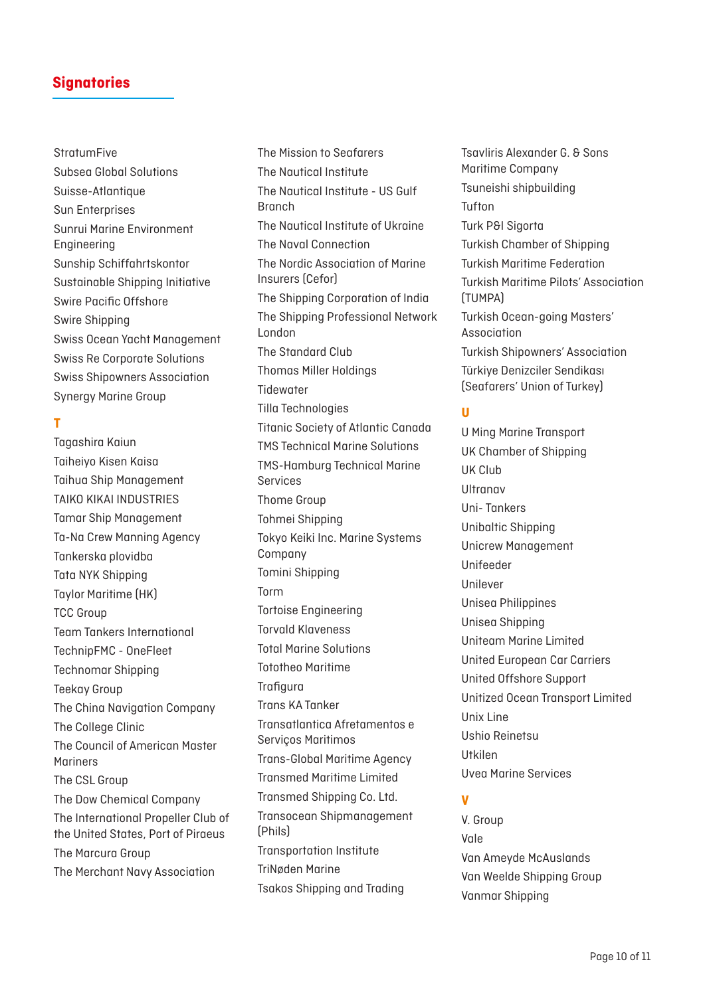# **StratumFive** Subsea Global Solutions Suisse-Atlantique Sun Enterprises Sunrui Marine Environment Engineering Sunship Schiffahrtskontor Sustainable Shipping Initiative Swire Pacific Offshore Swire Shipping Swiss Ocean Yacht Management Swiss Re Corporate Solutions Swiss Shipowners Association Synergy Marine Group

### **T**

Tagashira Kaiun Taiheiyo Kisen Kaisa Taihua Ship Management TAIKO KIKAI INDUSTRIES Tamar Ship Management Ta-Na Crew Manning Agency Tankerska plovidba Tata NYK Shipping Taylor Maritime (HK) TCC Group Team Tankers International TechnipFMC - OneFleet Technomar Shipping Teekay Group The China Navigation Company The College Clinic The Council of American Master Mariners The CSL Group The Dow Chemical Company The International Propeller Club of the United States, Port of Piraeus The Marcura Group The Merchant Navy Association

The Mission to Seafarers The Nautical Institute The Nautical Institute - US Gulf Branch The Nautical Institute of Ukraine The Naval Connection The Nordic Association of Marine Insurers (Cefor) The Shipping Corporation of India The Shipping Professional Network London The Standard Club Thomas Miller Holdings **Tidewater** Tilla Technologies Titanic Society of Atlantic Canada TMS Technical Marine Solutions TMS-Hamburg Technical Marine Services Thome Group Tohmei Shipping Tokyo Keiki Inc. Marine Systems Company Tomini Shipping Torm Tortoise Engineering Torvald Klaveness Total Marine Solutions Tototheo Maritime **Trafigura** Trans KA Tanker Transatlantica Afretamentos e Serviços Maritimos Trans-Global Maritime Agency Transmed Maritime Limited Transmed Shipping Co. Ltd. Transocean Shipmanagement (Phils) Transportation Institute TriNøden Marine Tsakos Shipping and Trading

Tsavliris Alexander G. & Sons Maritime Company Tsuneishi shipbuilding Tufton Turk P&I Sigorta Turkish Chamber of Shipping Turkish Maritime Federation Turkish Maritime Pilots' Association (TUMPA) Turkish Ocean-going Masters' Association Turkish Shipowners' Association Türkiye Denizciler Sendikası (Seafarers' Union of Turkey)

### **U**

U Ming Marine Transport UK Chamber of Shipping UK Club Ultranav Uni- Tankers Unibaltic Shipping Unicrew Management Unifeeder Unilever Unisea Philippines Unisea Shipping Uniteam Marine Limited United European Car Carriers United Offshore Support Unitized Ocean Transport Limited Unix Line Ushio Reinetsu Utkilen Uvea Marine Services

### **V**

V. Group Vale Van Ameyde McAuslands Van Weelde Shipping Group Vanmar Shipping